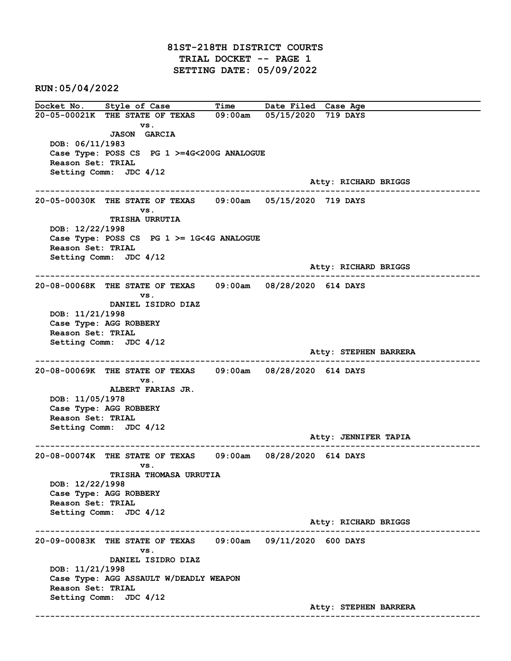81ST-218TH DISTRICT COURTS TRIAL DOCKET -- PAGE 1 SETTING DATE: 05/09/2022

RUN:05/04/2022

Docket No. Style of Case Time Date Filed Case Age 20-05-00021K THE STATE OF TEXAS 09:00am 05/15/2020 719 DAYS vs. JASON GARCIA DOB: 06/11/1983 Case Type: POSS CS PG 1 >=4G<200G ANALOGUE Reason Set: TRIAL Setting Comm: JDC 4/12 Atty: RICHARD BRIGGS ------------------------------------------------------------------------------------------------------------------------ 20-05-00030K THE STATE OF TEXAS 09:00am 05/15/2020 719 DAYS vs. TRISHA URRUTIA DOB: 12/22/1998 Case Type: POSS CS PG 1 >= 1G<4G ANALOGUE Reason Set: TRIAL Setting Comm: JDC 4/12 Atty: RICHARD BRIGGS ------------------------------------------------------------------------------------------------------------------------ 20-08-00068K THE STATE OF TEXAS 09:00am 08/28/2020 614 DAYS vs. DANIEL ISIDRO DIAZ DOB: 11/21/1998 Case Type: AGG ROBBERY Reason Set: TRIAL Setting Comm: JDC 4/12 Atty: STEPHEN BARRERA ------------------------------------------------------------------------------------------------------------------------ 20-08-00069K THE STATE OF TEXAS 09:00am 08/28/2020 614 DAYS vs. ALBERT FARIAS JR. DOB: 11/05/1978 Case Type: AGG ROBBERY Reason Set: TRIAL Setting Comm: JDC 4/12 Atty: JENNIFER TAPIA ------------------------------------------------------------------------------------------------------------------------ 20-08-00074K THE STATE OF TEXAS 09:00am 08/28/2020 614 DAYS vs. TRISHA THOMASA URRUTIA DOB: 12/22/1998 Case Type: AGG ROBBERY Reason Set: TRIAL Setting Comm: JDC 4/12 Atty: RICHARD BRIGGS ------------------------------------------------------------------------------------------------------------------------ 20-09-00083K THE STATE OF TEXAS 09:00am 09/11/2020 600 DAYS vs. DANIEL ISIDRO DIAZ DOB: 11/21/1998 Case Type: AGG ASSAULT W/DEADLY WEAPON Reason Set: TRIAL Setting Comm: JDC 4/12 Atty: STEPHEN BARRERA ------------------------------------------------------------------------------------------------------------------------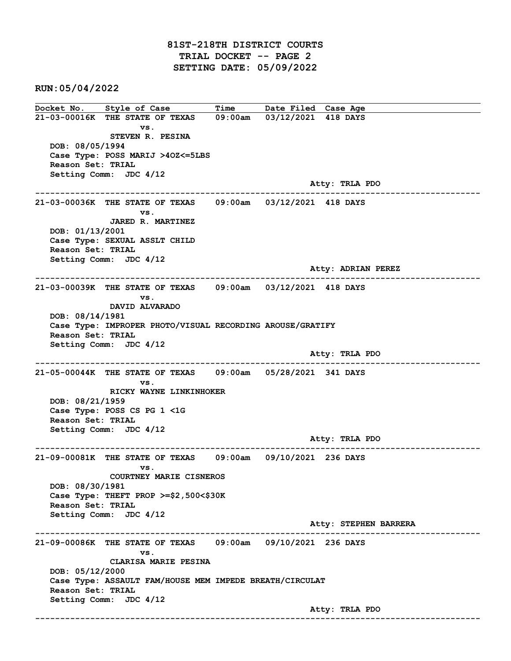RUN:05/04/2022

Docket No. Style of Case Time Date Filed Case Age 21-03-00016K THE STATE OF TEXAS 09:00am 03/12/2021 418 DAYS vs. STEVEN R. PESINA DOB: 08/05/1994 Case Type: POSS MARIJ >4OZ<=5LBS Reason Set: TRIAL Setting Comm: JDC 4/12 Atty: TRLA PDO ------------------------------------------------------------------------------------------------------------------------ 21-03-00036K THE STATE OF TEXAS 09:00am 03/12/2021 418 DAYS vs. JARED R. MARTINEZ DOB: 01/13/2001 Case Type: SEXUAL ASSLT CHILD Reason Set: TRIAL Setting Comm: JDC 4/12 Atty: ADRIAN PEREZ ------------------------------------------------------------------------------------------------------------------------ 21-03-00039K THE STATE OF TEXAS 09:00am 03/12/2021 418 DAYS vs. DAVID ALVARADO DOB: 08/14/1981 Case Type: IMPROPER PHOTO/VISUAL RECORDING AROUSE/GRATIFY Reason Set: TRIAL Setting Comm: JDC 4/12 Atty: TRLA PDO ------------------------------------------------------------------------------------------------------------------------ 21-05-00044K THE STATE OF TEXAS 09:00am 05/28/2021 341 DAYS vs. RICKY WAYNE LINKINHOKER DOB: 08/21/1959 Case Type: POSS CS PG 1 <1G Reason Set: TRIAL Setting Comm: JDC 4/12 Atty: TRLA PDO ------------------------------------------------------------------------------------------------------------------------ 21-09-00081K THE STATE OF TEXAS 09:00am 09/10/2021 236 DAYS vs. COURTNEY MARIE CISNEROS DOB: 08/30/1981 Case Type: THEFT PROP >=\$2,500<\$30K Reason Set: TRIAL Setting Comm: JDC 4/12 Atty: STEPHEN BARRERA ------------------------------------------------------------------------------------------------------------------------ 21-09-00086K THE STATE OF TEXAS 09:00am 09/10/2021 236 DAYS vs. CLARISA MARIE PESINA DOB: 05/12/2000 Case Type: ASSAULT FAM/HOUSE MEM IMPEDE BREATH/CIRCULAT Reason Set: TRIAL Setting Comm: JDC 4/12 Atty: TRLA PDO ------------------------------------------------------------------------------------------------------------------------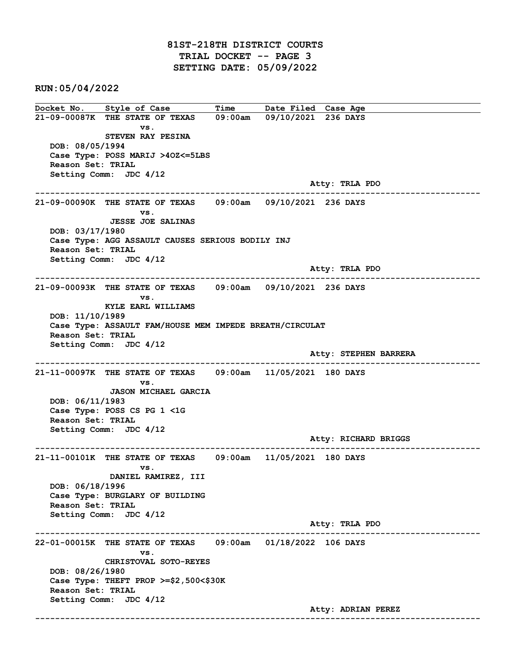RUN:05/04/2022

Docket No. Style of Case Time Date Filed Case Age 21-09-00087K THE STATE OF TEXAS 09:00am 09/10/2021 236 DAYS vs. STEVEN RAY PESINA DOB: 08/05/1994 Case Type: POSS MARIJ >4OZ<=5LBS Reason Set: TRIAL Setting Comm: JDC 4/12 Atty: TRLA PDO ------------------------------------------------------------------------------------------------------------------------ 21-09-00090K THE STATE OF TEXAS 09:00am 09/10/2021 236 DAYS vs. JESSE JOE SALINAS DOB: 03/17/1980 Case Type: AGG ASSAULT CAUSES SERIOUS BODILY INJ Reason Set: TRIAL Setting Comm: JDC 4/12 Atty: TRLA PDO ------------------------------------------------------------------------------------------------------------------------ 21-09-00093K THE STATE OF TEXAS 09:00am 09/10/2021 236 DAYS vs. KYLE EARL WILLIAMS DOB: 11/10/1989 Case Type: ASSAULT FAM/HOUSE MEM IMPEDE BREATH/CIRCULAT Reason Set: TRIAL Setting Comm: JDC 4/12 Atty: STEPHEN BARRERA ------------------------------------------------------------------------------------------------------------------------ 21-11-00097K THE STATE OF TEXAS 09:00am 11/05/2021 180 DAYS vs. JASON MICHAEL GARCIA DOB: 06/11/1983 Case Type: POSS CS PG 1 <1G Reason Set: TRIAL Setting Comm: JDC 4/12 Atty: RICHARD BRIGGS ------------------------------------------------------------------------------------------------------------------------ 21-11-00101K THE STATE OF TEXAS 09:00am 11/05/2021 180 DAYS vs. DANIEL RAMIREZ, III DOB: 06/18/1996 Case Type: BURGLARY OF BUILDING Reason Set: TRIAL Setting Comm: JDC 4/12 Atty: TRLA PDO ------------------------------------------------------------------------------------------------------------------------ 22-01-00015K THE STATE OF TEXAS 09:00am 01/18/2022 106 DAYS vs. CHRISTOVAL SOTO-REYES DOB: 08/26/1980 Case Type: THEFT PROP >=\$2,500<\$30K Reason Set: TRIAL Setting Comm: JDC 4/12 Atty: ADRIAN PEREZ ------------------------------------------------------------------------------------------------------------------------